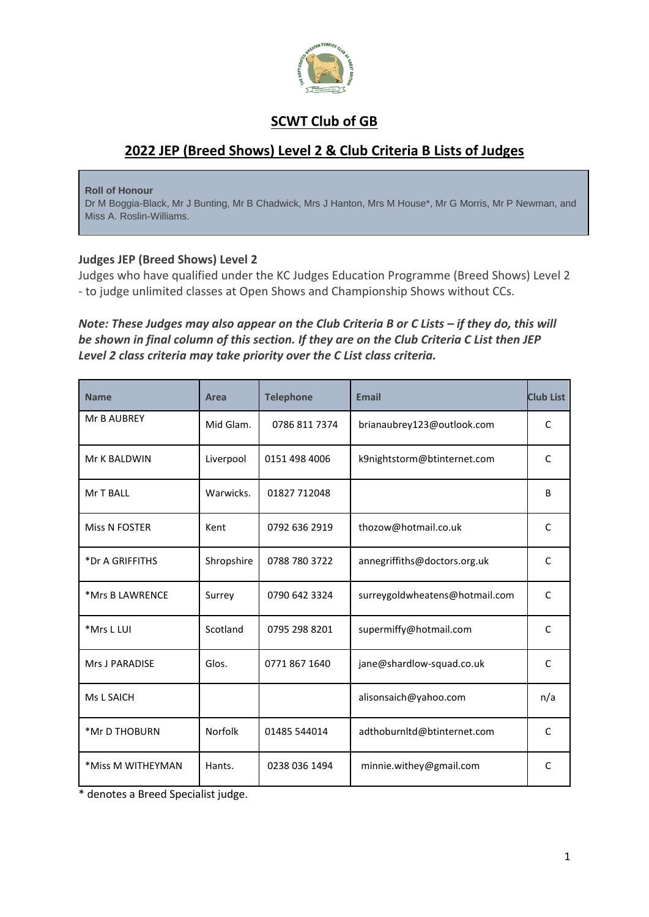

# **SCWT Club of GB**

# **2022 JEP (Breed Shows) Level 2 & Club Criteria B Lists of Judges**

**Roll of Honour**

Dr M Boggia-Black, Mr J Bunting, Mr B Chadwick, Mrs J Hanton, Mrs M House\*, Mr G Morris, Mr P Newman, and Miss A. Roslin-Williams.

### **Judges JEP (Breed Shows) Level 2**

Judges who have qualified under the KC Judges Education Programme (Breed Shows) Level 2 - to judge unlimited classes at Open Shows and Championship Shows without CCs.

### Note: These Judges may also appear on the Club Criteria B or C Lists - if they do, this will *be shown in final column of this section. If they are on the Club Criteria C List then JEP Level 2 class criteria may take priority over the C List class criteria.*

| <b>Name</b>       | <b>Area</b> | <b>Telephone</b> | <b>Email</b>                   | <b>Club List</b> |
|-------------------|-------------|------------------|--------------------------------|------------------|
| Mr B AUBREY       | Mid Glam.   | 0786 811 7374    | brianaubrey123@outlook.com     | C                |
| Mr K BALDWIN      | Liverpool   | 0151 498 4006    | k9nightstorm@btinternet.com    | C                |
| Mr T BALL         | Warwicks.   | 01827 712048     |                                | <sub>B</sub>     |
| Miss N FOSTER     | Kent        | 0792 636 2919    | thozow@hotmail.co.uk           | C                |
| *Dr A GRIFFITHS   | Shropshire  | 0788 780 3722    | annegriffiths@doctors.org.uk   | C                |
| *Mrs B LAWRENCE   | Surrey      | 0790 642 3324    | surreygoldwheatens@hotmail.com | C                |
| *Mrs L LUI        | Scotland    | 0795 298 8201    | supermiffy@hotmail.com         | C                |
| Mrs J PARADISE    | Glos.       | 0771 867 1640    | jane@shardlow-squad.co.uk      | C                |
| Ms L SAICH        |             |                  | alisonsaich@yahoo.com          | n/a              |
| *Mr D THOBURN     | Norfolk     | 01485 544014     | adthoburnItd@btinternet.com    | C                |
| *Miss M WITHEYMAN | Hants.      | 0238 036 1494    | minnie.withey@gmail.com        | C                |

\* denotes a Breed Specialist judge.